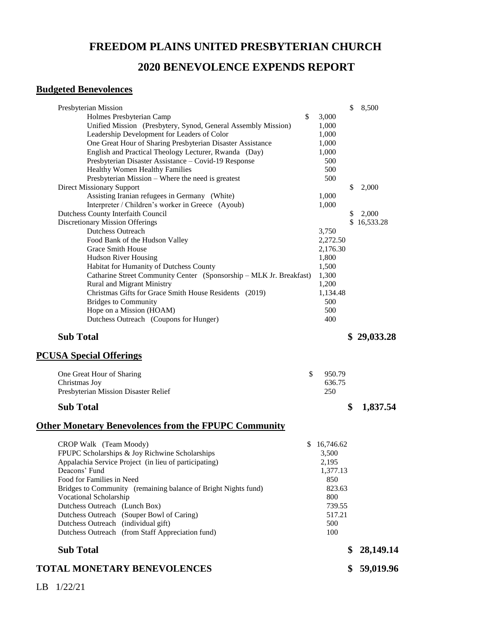## **FREEDOM PLAINS UNITED PRESBYTERIAN CHURCH**

### **2020 BENEVOLENCE EXPENDS REPORT**

### **Budgeted Benevolences**

| Presbyterian Mission                                                |           | \$<br>8,500     |
|---------------------------------------------------------------------|-----------|-----------------|
| \$<br>Holmes Presbyterian Camp                                      | 3,000     |                 |
| Unified Mission (Presbytery, Synod, General Assembly Mission)       | 1,000     |                 |
| Leadership Development for Leaders of Color                         | 1,000     |                 |
| One Great Hour of Sharing Presbyterian Disaster Assistance          | 1,000     |                 |
| English and Practical Theology Lecturer, Rwanda (Day)               | 1,000     |                 |
| Presbyterian Disaster Assistance – Covid-19 Response                | 500       |                 |
| Healthy Women Healthy Families                                      | 500       |                 |
| Presbyterian Mission - Where the need is greatest                   | 500       |                 |
| <b>Direct Missionary Support</b>                                    |           | \$<br>2,000     |
| Assisting Iranian refugees in Germany (White)                       | 1,000     |                 |
| Interpreter / Children's worker in Greece (Ayoub)                   | 1,000     |                 |
| Dutchess County Interfaith Council                                  |           | \$<br>2,000     |
| Discretionary Mission Offerings                                     |           | \$16,533.28     |
| <b>Dutchess Outreach</b>                                            | 3,750     |                 |
| Food Bank of the Hudson Valley                                      | 2,272.50  |                 |
| <b>Grace Smith House</b>                                            | 2,176.30  |                 |
|                                                                     | 1,800     |                 |
| Hudson River Housing                                                |           |                 |
| Habitat for Humanity of Dutchess County                             | 1,500     |                 |
| Catharine Street Community Center (Sponsorship - MLK Jr. Breakfast) | 1,300     |                 |
| <b>Rural and Migrant Ministry</b>                                   | 1,200     |                 |
| Christmas Gifts for Grace Smith House Residents (2019)              | 1,134.48  |                 |
| <b>Bridges to Community</b>                                         | 500       |                 |
| Hope on a Mission (HOAM)                                            | 500       |                 |
| Dutchess Outreach (Coupons for Hunger)                              | 400       |                 |
| <b>Sub Total</b><br><b>PCUSA Special Offerings</b>                  |           | 29,033.28       |
| \$<br>One Great Hour of Sharing                                     | 950.79    |                 |
| Christmas Joy                                                       | 636.75    |                 |
| Presbyterian Mission Disaster Relief                                | 250       |                 |
| <b>Sub Total</b>                                                    |           | \$<br>1,837.54  |
| <b>Other Monetary Benevolences from the FPUPC Community</b>         |           |                 |
| CROP Walk (Team Moody)<br>\$                                        | 16,746.62 |                 |
| FPUPC Scholarships & Joy Richwine Scholarships                      | 3,500     |                 |
| Appalachia Service Project (in lieu of participating)               | 2,195     |                 |
| Deacons' Fund                                                       | 1,377.13  |                 |
| Food for Families in Need                                           | 850       |                 |
| Bridges to Community (remaining balance of Bright Nights fund)      | 823.63    |                 |
| Vocational Scholarship                                              |           |                 |
|                                                                     |           |                 |
|                                                                     | 800       |                 |
| Dutchess Outreach (Lunch Box)                                       | 739.55    |                 |
| Dutchess Outreach (Souper Bowl of Caring)                           | 517.21    |                 |
| Dutchess Outreach (individual gift)                                 | 500       |                 |
| Dutchess Outreach (from Staff Appreciation fund)                    | 100       |                 |
| <b>Sub Total</b>                                                    |           | \$<br>28,149.14 |

LB 1/22/21